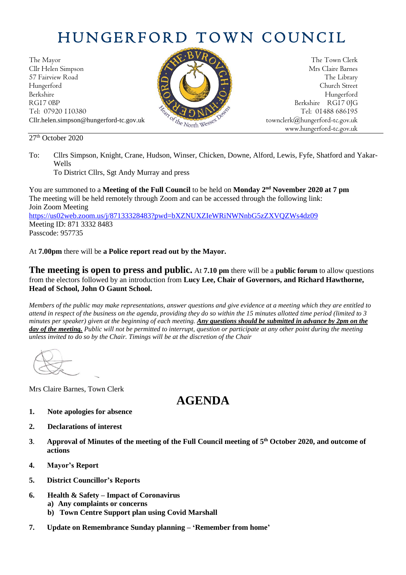# HUNGERFORD TOWN COUNCIL

The Mayor The Town Clerk Cllr Helen Simpson Mrs Claire Barnes<br>57 Fairview Road The Library 57 Fairview Road The Library (Contact of the Library Street Street (Contact of the Library Street Street Street Hungerford Church Street Berkshire Hungerford RG17 0BP Berkshire RG17 0JG Tel: 07920 110380 Tel: 07920 110380 Tel: 07920 110380 Tel: 01488 686195 Cllr.helen.simpson@hungerford-tc.gov.uk [townclerk@hungerford-tc.gov.uk](mailto:townclerk@hungerford-tc.gov.uk)

27<sup>th</sup> October 2020



www.hungerford-tc.gov.uk

To District Cllrs, Sgt Andy Murray and press

You are summoned to a Meeting of the Full Council to be held on Monday 2<sup>nd</sup> November 2020 at 7 pm The meeting will be held remotely through Zoom and can be accessed through the following link: Join Zoom Meeting <https://us02web.zoom.us/j/87133328483?pwd=bXZNUXZIeWRiNWNnbG5zZXVQZWs4dz09> Meeting ID: 871 3332 8483 Passcode: 957735

At **7.00pm** there will be **a Police report read out by the Mayor.** 

**The meeting is open to press and public.** At **7.10 pm** there will be a **public forum** to allow questions from the electors followed by an introduction from **Lucy Lee, Chair of Governors, and Richard Hawthorne, Head of School, John O Gaunt School.**

*Members of the public may make representations, answer questions and give evidence at a meeting which they are entitled to attend in respect of the business on the agenda, providing they do so within the 15 minutes allotted time period (limited to 3 minutes per speaker) given at the beginning of each meeting. Any questions should be submitted in advance by 2pm on the day of the meeting. Public will not be permitted to interrupt, question or participate at any other point during the meeting unless invited to do so by the Chair. Timings will be at the discretion of the Chair*

Mrs Claire Barnes, Town Clerk

## **AGENDA**

- **1. Note apologies for absence**
- **2. Declarations of interest**
- **3**. **Approval of Minutes of the meeting of the Full Council meeting of 5 th October 2020, and outcome of actions**
- **4. Mayor's Report**
- **5. District Councillor's Reports**
- **6. Health & Safety – Impact of Coronavirus**
	- **a) Any complaints or concerns**
	- **b) Town Centre Support plan using Covid Marshall**
- **7. Update on Remembrance Sunday planning – 'Remember from home'**